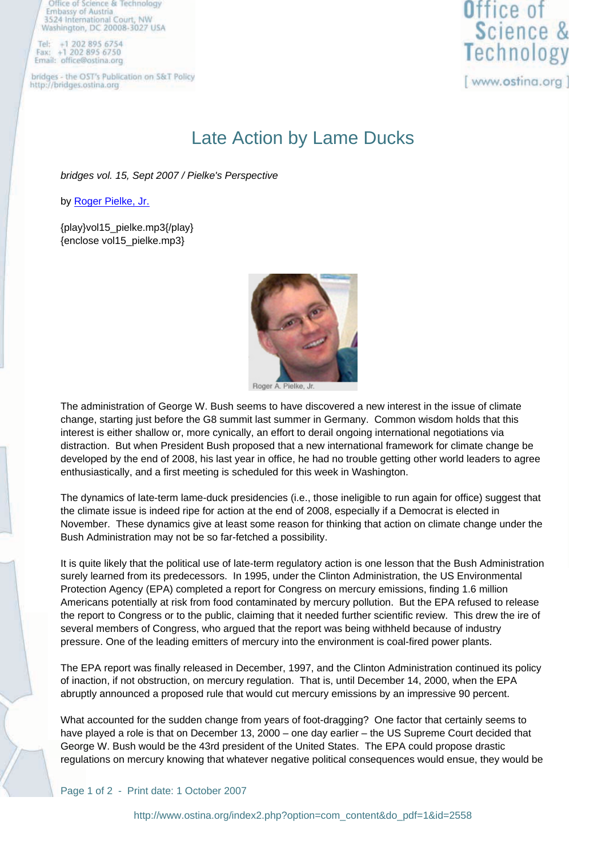502 895 6750 Email: office@ostina.org

bridges - the OST's Publication on S&T Policy http://bridges.ostina.org



## Late Action by Lame Ducks

bridges vol. 15, Sept 2007 / Pielke's Perspective

by Roger Pielke, Jr.

{play}vol15\_pielke.mp3{/play} {enclose vol15\_pielke.mp3}



Roger Pielke, Jr.

The administration of George W. Bush seems to have discovered a new interest in the issue of climate change, starting just before the G8 summit last summer in Germany. Common wisdom holds that this interest is either shallow or, more cynically, an effort to derail ongoing international negotiations via distraction. But when President Bush proposed that a new international framework for climate change be developed by the end of 2008, his last year in office, he had no trouble getting other world leaders to agree enthusiastically, and a first meeting is scheduled for this week in Washington.

The dynamics of late-term lame-duck presidencies (i.e., those ineligible to run again for office) suggest that the climate issue is indeed ripe for action at the end of 2008, especially if a Democrat is elected in November. These dynamics give at least some reason for thinking that action on climate change under the Bush Administration may not be so far-fetched a possibility.

It is quite likely that the political use of late-term regulatory action is one lesson that the Bush Administration surely learned from its predecessors. In 1995, under the Clinton Administration, the US Environmental Protection Agency (EPA) completed a report for Congress on mercury emissions, finding 1.6 million Americans potentially at risk from food contaminated by mercury pollution. But the EPA refused to release the report to Congress or to the public, claiming that it needed further scientific review. This drew the ire of several members of Congress, who argued that the report was being withheld because of industry pressure. One of the leading emitters of mercury into the environment is coal-fired power plants.

The EPA report was finally released in December, 1997, and the Clinton Administration continued its policy of inaction, if not obstruction, on mercury regulation. That is, until December 14, 2000, when the EPA abruptly announced a proposed rule that would cut mercury emissions by an impressive 90 percent.

What accounted for the sudden change from years of foot-dragging? One factor that certainly seems to have played a role is that on December 13, 2000 – one day earlier – the US Supreme Court decided that George W. Bush would be the 43rd president of the United States. The EPA could propose drastic regulations on mercury knowing that whatever negative political consequences would ensue, they would be

Page 1 of 2 - Print date: 1 October 2007